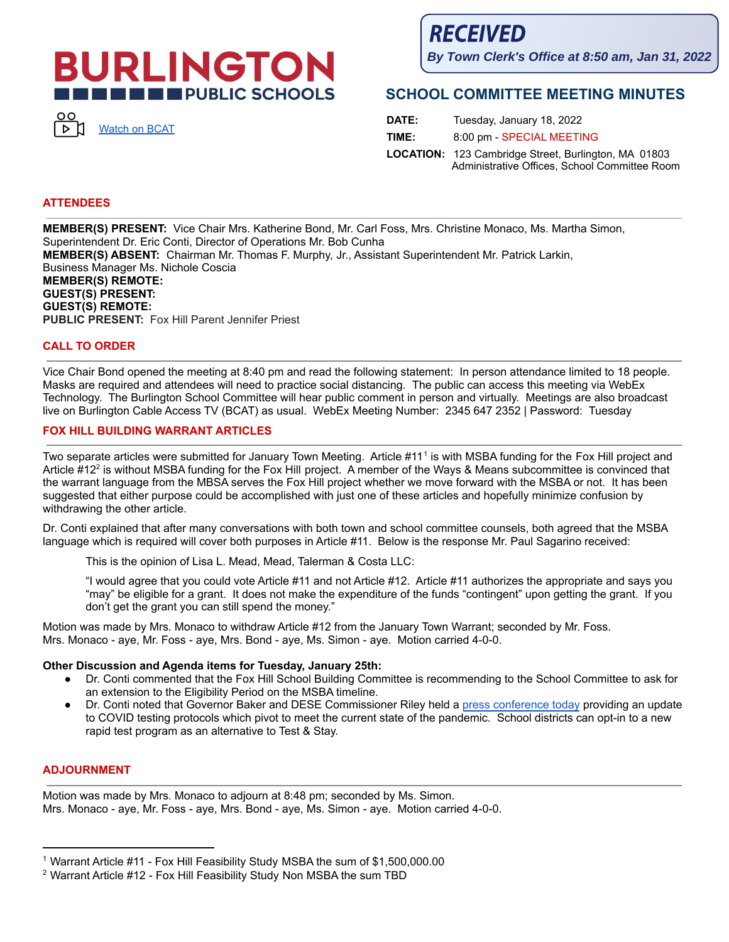# **BURLINGTON THE EXPUBLIC SCHOOLS**



**RECEIVED** 

**By Town Clerk's Office at 8:50 am, Jan 31, 2022**

# **SCHOOL COMMITTEE MEETING MINUTES**

| DATE: | Tuesday, January 18, 2022                                                                                    |
|-------|--------------------------------------------------------------------------------------------------------------|
| TIME: | 8:00 pm - SPECIAL MEETING                                                                                    |
|       | <b>LOCATION:</b> 123 Cambridge Street, Burlington, MA 01803<br>Administrative Offices, School Committee Room |

## **ATTENDEES**

**MEMBER(S) PRESENT:** Vice Chair Mrs. Katherine Bond, Mr. Carl Foss, Mrs. Christine Monaco, Ms. Martha Simon, Superintendent Dr. Eric Conti, Director of Operations Mr. Bob Cunha **MEMBER(S) ABSENT:** Chairman Mr. Thomas F. Murphy, Jr., Assistant Superintendent Mr. Patrick Larkin, Business Manager Ms. Nichole Coscia **MEMBER(S) REMOTE: GUEST(S) PRESENT: GUEST(S) REMOTE: PUBLIC PRESENT:** Fox Hill Parent Jennifer Priest

#### **CALL TO ORDER**

Vice Chair Bond opened the meeting at 8:40 pm and read the following statement: In person attendance limited to 18 people. Masks are required and attendees will need to practice social distancing. The public can access this meeting via WebEx Technology. The Burlington School Committee will hear public comment in person and virtually. Meetings are also broadcast live on Burlington Cable Access TV (BCAT) as usual. WebEx Meeting Number: 2345 647 2352 | Password: Tuesday

### **FOX HILL BUILDING WARRANT ARTICLES**

Two separate articles were submitted for January Town Meeting. Article #11 1 is with MSBA funding for the Fox Hill project and Article #12<sup>2</sup> is without MSBA funding for the Fox Hill project. A member of the Ways & Means subcommittee is convinced that the warrant language from the MBSA serves the Fox Hill project whether we move forward with the MSBA or not. It has been suggested that either purpose could be accomplished with just one of these articles and hopefully minimize confusion by withdrawing the other article.

Dr. Conti explained that after many conversations with both town and school committee counsels, both agreed that the MSBA language which is required will cover both purposes in Article #11. Below is the response Mr. Paul Sagarino received:

This is the opinion of Lisa L. Mead, Mead, Talerman & Costa LLC:

"I would agree that you could vote Article #11 and not Article #12. Article #11 authorizes the appropriate and says you "may" be eligible for a grant. It does not make the expenditure of the funds "contingent" upon getting the grant. If you don't get the grant you can still spend the money."

Motion was made by Mrs. Monaco to withdraw Article #12 from the January Town Warrant; seconded by Mr. Foss. Mrs. Monaco - aye, Mr. Foss - aye, Mrs. Bond - aye, Ms. Simon - aye. Motion carried 4-0-0.

#### **Other Discussion and Agenda items for Tuesday, January 25th:**

- Dr. Conti commented that the Fox Hill School Building Committee is recommending to the School Committee to ask for an extension to the Eligibility Period on the MSBA timeline.
- Dr. Conti noted that Governor Baker and DESE Commissioner Riley held a press [conference](https://www.youtube.com/watch?v=LtCnydsCdh0) today providing an update to COVID testing protocols which pivot to meet the current state of the pandemic. School districts can opt-in to a new rapid test program as an alternative to Test & Stay.

#### **ADJOURNMENT**

Motion was made by Mrs. Monaco to adjourn at 8:48 pm; seconded by Ms. Simon. Mrs. Monaco - aye, Mr. Foss - aye, Mrs. Bond - aye, Ms. Simon - aye. Motion carried 4-0-0.

<sup>&</sup>lt;sup>1</sup> Warrant Article #11 - Fox Hill Feasibility Study MSBA the sum of \$1,500,000.00

 $2$  Warrant Article #12 - Fox Hill Feasibility Study Non MSBA the sum TBD